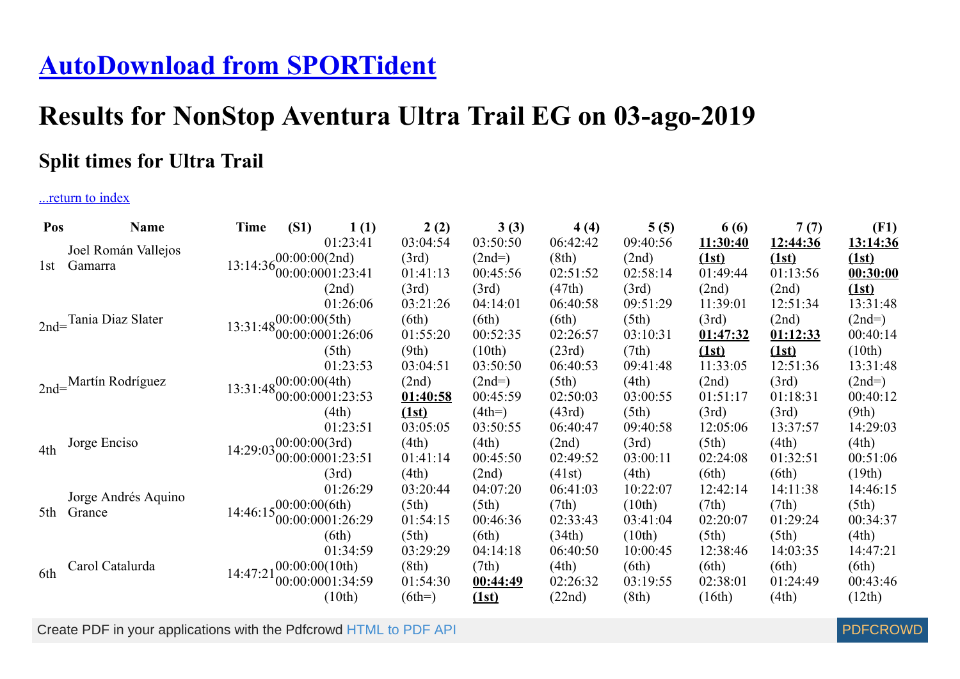## **[AutoDownload from SPORTident](http://www.sportident.co.uk/)**

## **Results for NonStop Aventura Ultra Trail EG on 03-ago-2019**

## **Split times for Ultra Trail**

## ...return to index

| Pos | <b>Name</b>                   | Time                                           | (S1)                              | 1(1)                                                                      | 2(2)     | 3(3)     | 4(4)     | 5(5)     | 6 (6)    | 7(7)     | (F1)     |
|-----|-------------------------------|------------------------------------------------|-----------------------------------|---------------------------------------------------------------------------|----------|----------|----------|----------|----------|----------|----------|
|     | Joel Román Vallejos           |                                                |                                   | 01:23:41                                                                  | 03:04:54 | 03:50:50 | 06:42:42 | 09:40:56 | 11:30:40 | 12:44:36 | 13:14:36 |
| 1st | Gamarra                       |                                                |                                   | 13:14:36 $\begin{array}{c} 00:00:00(2nd) \\ 60:00:0001:23:41 \end{array}$ | (3rd)    | $(2nd=)$ | (8th)    | (2nd)    | (1st)    | (1st)    | (1st)    |
|     |                               |                                                |                                   |                                                                           | 01:41:13 | 00:45:56 | 02:51:52 | 02:58:14 | 01:49:44 | 01:13:56 | 00:30:00 |
|     |                               |                                                |                                   | (2nd)                                                                     | (3rd)    | (3rd)    | (47th)   | (3rd)    | (2nd)    | (2nd)    | (1st)    |
|     |                               |                                                |                                   | 01:26:06                                                                  | 03:21:26 | 04:14:01 | 06:40:58 | 09:51:29 | 11:39:01 | 12:51:34 | 13:31:48 |
|     | 2nd=Tania Diaz Slater         |                                                |                                   | $13:31:48\begin{bmatrix}00:00:00(5th)\\00:00:0001:26:06\end{bmatrix}$     | (6th)    | (6th)    | (6th)    | (5th)    | (3rd)    | (2nd)    | $(2nd=)$ |
|     |                               |                                                |                                   |                                                                           | 01:55:20 | 00:52:35 | 02:26:57 | 03:10:31 | 01:47:32 | 01:12:33 | 00:40:14 |
|     |                               |                                                |                                   | (5th)                                                                     | (9th)    | (10th)   | (23rd)   | (7th)    | (1st)    | (1st)    | (10th)   |
|     |                               |                                                |                                   | 01:23:53                                                                  | 03:04:51 | 03:50:50 | 06:40:53 | 09:41:48 | 11:33:05 | 12:51:36 | 13:31:48 |
|     | 2nd=Martín Rodríguez          |                                                |                                   | 13:31:48 $00:00:00(4th)$<br>$00:000:0001:23:53$                           | (2nd)    | $(2nd=)$ | (5th)    | (4th)    | (2nd)    | (3rd)    | $(2nd=)$ |
|     |                               |                                                |                                   |                                                                           | 01:40:58 | 00:45:59 | 02:50:03 | 03:00:55 | 01:51:17 | 01:18:31 | 00:40:12 |
|     |                               |                                                |                                   | (4th)                                                                     | (1st)    | $(4th=)$ | (43rd)   | (5th)    | (3rd)    | (3rd)    | (9th)    |
|     |                               |                                                |                                   | 01:23:51                                                                  | 03:05:05 | 03:50:55 | 06:40:47 | 09:40:58 | 12:05:06 | 13:37:57 | 14:29:03 |
| 4th | Jorge Enciso                  |                                                | $14:29:03\frac{00:00:00(3rd)}{2}$ |                                                                           | (4th)    | (4th)    | (2nd)    | (3rd)    | (5th)    | (4th)    | (4th)    |
|     |                               |                                                |                                   | 00:00:0001:23:51                                                          | 01:41:14 | 00:45:50 | 02:49:52 | 03:00:11 | 02:24:08 | 01:32:51 | 00:51:06 |
|     |                               |                                                |                                   | (3rd)                                                                     | (4th)    | (2nd)    | (41st)   | (4th)    | (6th)    | (6th)    | (19th)   |
|     |                               |                                                |                                   | 01:26:29                                                                  | 03:20:44 | 04:07:20 | 06:41:03 | 10:22:07 | 12:42:14 | 14:11:38 | 14:46:15 |
| 5th | Jorge Andrés Aquino<br>Grance |                                                |                                   |                                                                           | (5th)    | (5th)    | (7th)    | (10th)   | (7th)    | (7th)    | (5th)    |
|     |                               | $14:46:15^{00:00:00(6th)}$<br>00:00:0001:26:29 | 01:54:15                          | 00:46:36                                                                  | 02:33:43 | 03:41:04 | 02:20:07 | 01:29:24 | 00:34:37 |          |          |
|     |                               |                                                |                                   | (6th)                                                                     | (5th)    | (6th)    | (34th)   | (10th)   | (5th)    | (5th)    | (4th)    |
|     |                               |                                                |                                   | 01:34:59                                                                  | 03:29:29 | 04:14:18 | 06:40:50 | 10:00:45 | 12:38:46 | 14:03:35 | 14:47:21 |
| 6th | Carol Catalurda               | $14:47:21_{00}^{00:00:00(10th)}$               |                                   |                                                                           | (8th)    | (7th)    | (4th)    | (6th)    | (6th)    | (6th)    | (6th)    |
|     |                               |                                                |                                   | 00:00:0001:34:59                                                          | 01:54:30 | 00:44:49 | 02:26:32 | 03:19:55 | 02:38:01 | 01:24:49 | 00:43:46 |
|     |                               |                                                |                                   | (10th)                                                                    | $(6th=)$ | (1st)    | (22nd)   | (8th)    | (16th)   | (4th)    | (12th)   |

Create PDF in your applications with the Pdfcrowd [HTML to PDF API](https://pdfcrowd.com/doc/api/?ref=pdf) [PDFCROWD](https://pdfcrowd.com/?ref=pdf)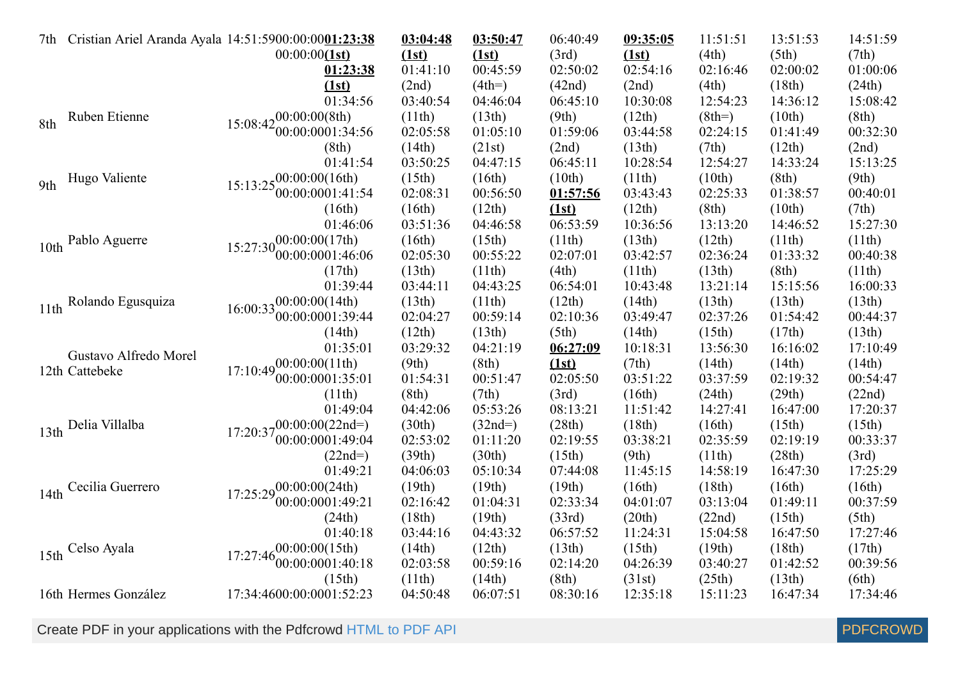|      | 7th Cristian Ariel Aranda Ayala 14:51:5900:00:0001:23:38 | 00:00:00(1st)                                  | 03:04:48<br>(1st) | 03:50:47<br>(1st) | 06:40:49<br>(3rd) | 09:35:05<br>(1st) | 11:51:51<br>(4th) | 13:51:53<br>(5th)                                                                                                                                                                                                                                                                                                                                                                            | 14:51:59<br>(7th) |
|------|----------------------------------------------------------|------------------------------------------------|-------------------|-------------------|-------------------|-------------------|-------------------|----------------------------------------------------------------------------------------------------------------------------------------------------------------------------------------------------------------------------------------------------------------------------------------------------------------------------------------------------------------------------------------------|-------------------|
|      |                                                          | 01:23:38                                       | 01:41:10          | 00:45:59          | 02:50:02          | 02:54:16          | 02:16:46          |                                                                                                                                                                                                                                                                                                                                                                                              | 01:00:06          |
|      |                                                          | (1st)                                          | (2nd)             | $(4th=)$          | (42nd)            | (2nd)             | (4th)             |                                                                                                                                                                                                                                                                                                                                                                                              | (24th)            |
|      |                                                          | 01:34:56                                       | 03:40:54          | 04:46:04          | 06:45:10          | 10:30:08          | 12:54:23          |                                                                                                                                                                                                                                                                                                                                                                                              | 15:08:42          |
| 8th  | Ruben Etienne                                            | $15:08:42_{00}^{00:00:00(8th)}$                | (11th)            | (13th)            | (9th)             | (12th)            | $(8th=)$          |                                                                                                                                                                                                                                                                                                                                                                                              | (8th)             |
|      |                                                          | 00:00:0001:34:56                               | 02:05:58          | 01:05:10          | 01:59:06          | 03:44:58          | 02:24:15          |                                                                                                                                                                                                                                                                                                                                                                                              | 00:32:30          |
|      |                                                          | (8th)                                          | (14th)            | (21st)            | (2nd)             | (13th)            | (7th)             |                                                                                                                                                                                                                                                                                                                                                                                              | (2nd)             |
|      |                                                          | 01:41:54                                       | 03:50:25          | 04:47:15          | 06:45:11          | 10:28:54          | 12:54:27          |                                                                                                                                                                                                                                                                                                                                                                                              | 15:13:25          |
| 9th  | Hugo Valiente                                            | $15:13:25^{00:00:00(16th)}_{00.00}$            | (15th)            | (16th)            | (10th)            | (11th)            | (10th)            |                                                                                                                                                                                                                                                                                                                                                                                              | (9th)             |
|      |                                                          | 00:00:0001:41:54                               | 02:08:31          | 00:56:50          | 01:57:56          | 03:43:43          | 02:25:33          |                                                                                                                                                                                                                                                                                                                                                                                              | 00:40:01          |
|      |                                                          | (16th)                                         | (16th)            | (12th)            | (1st)             | (12th)            | (8th)             |                                                                                                                                                                                                                                                                                                                                                                                              | (7th)             |
|      |                                                          | 01:46:06                                       | 03:51:36          | 04:46:58          | 06:53:59          | 10:36:56          | 13:13:20          |                                                                                                                                                                                                                                                                                                                                                                                              | 15:27:30          |
|      | 10th Pablo Aguerre                                       | $15:27:30^{00:00:00(17th)}$                    | (16th)            | (15th)            | (11th)            | (13th)            | (12th)            |                                                                                                                                                                                                                                                                                                                                                                                              | (11th)            |
|      |                                                          | 00:00:0001:46:06                               | 02:05:30          | 00:55:22          | 02:07:01          | 03:42:57          | 02:36:24          |                                                                                                                                                                                                                                                                                                                                                                                              | 00:40:38          |
|      |                                                          | (17th)                                         | (13th)            | (11th)            | (4th)             | (11th)            | (13th)            |                                                                                                                                                                                                                                                                                                                                                                                              | (11th)            |
|      |                                                          | 01:39:44                                       | 03:44:11          | 04:43:25          | 06:54:01          | 10:43:48          | 13:21:14          |                                                                                                                                                                                                                                                                                                                                                                                              | 16:00:33          |
|      | 11th Rolando Egusquiza                                   | $16:00:33\frac{00:00:00(14th)}{000:000(14th)}$ | (13th)            | (11th)            | (12th)            | (14th)            | (13th)            |                                                                                                                                                                                                                                                                                                                                                                                              | (13th)            |
|      |                                                          | 00:00:0001:39:44                               | 02:04:27          | 00:59:14          | 02:10:36          | 03:49:47          | 02:37:26          |                                                                                                                                                                                                                                                                                                                                                                                              | 00:44:37          |
|      |                                                          | (14th)                                         | (12th)            | (13th)            | (5th)             | (14th)            | (15th)            |                                                                                                                                                                                                                                                                                                                                                                                              | (13th)            |
|      | Gustavo Alfredo Morel                                    | 01:35:01                                       | 03:29:32          | 04:21:19          | 06:27:09          | 10:18:31          | 13:56:30          |                                                                                                                                                                                                                                                                                                                                                                                              | 17:10:49          |
|      | 12th Cattebeke                                           | $17:10:49\substack{00:00:00(11th)}$            | (9th)             | (8th)             | (1st)             | (7th)             | (14th)            |                                                                                                                                                                                                                                                                                                                                                                                              | (14th)            |
|      |                                                          | 00:00:0001:35:01                               | 01:54:31          | 00:51:47          | 02:05:50          | 03:51:22          | 03:37:59          | 02:00:02<br>(18th)<br>14:36:12<br>(10th)<br>01:41:49<br>(12th)<br>14:33:24<br>(8th)<br>01:38:57<br>(10th)<br>14:46:52<br>(11th)<br>01:33:32<br>(8th)<br>15:15:56<br>(13th)<br>01:54:42<br>(17th)<br>16:16:02<br>(14th)<br>02:19:32<br>(29th)<br>16:47:00<br>(15th)<br>02:19:19<br>(28th)<br>16:47:30<br>(16th)<br>01:49:11<br>(15th)<br>16:47:50<br>(18th)<br>01:42:52<br>(13th)<br>16:47:34 | 00:54:47          |
|      |                                                          | (11th)                                         | (8th)             | (7th)             | (3rd)             | (16th)            | (24th)            |                                                                                                                                                                                                                                                                                                                                                                                              | (22nd)            |
|      |                                                          | 01:49:04                                       | 04:42:06          | 05:53:26          | 08:13:21          | 11:51:42          | 14:27:41          |                                                                                                                                                                                                                                                                                                                                                                                              | 17:20:37          |
| 13th | Delia Villalba                                           | $17:20:37_{00.00}^{00.00}(0.022nd=)$           | (30th)            | $(32nd=)$         | (28th)            | (18th)            | (16th)            |                                                                                                                                                                                                                                                                                                                                                                                              | (15th)            |
|      |                                                          | 00:00:0001:49:04                               | 02:53:02          | 01:11:20          | 02:19:55          | 03:38:21          | 02:35:59          |                                                                                                                                                                                                                                                                                                                                                                                              | 00:33:37          |
|      |                                                          | $(22nd=)$                                      | (39th)            | (30th)            | (15th)            | (9th)             | (11th)            |                                                                                                                                                                                                                                                                                                                                                                                              | (3rd)             |
|      |                                                          | 01:49:21                                       | 04:06:03          | 05:10:34          | 07:44:08          | 11:45:15          | 14:58:19          |                                                                                                                                                                                                                                                                                                                                                                                              | 17:25:29          |
| 14th | Cecilia Guerrero                                         | $17:25:29\substack{00:00:00(24th)}$            | (19th)            | (19th)            | (19th)            | (16th)            | (18th)            |                                                                                                                                                                                                                                                                                                                                                                                              | (16th)            |
|      |                                                          | 00:00:0001:49:21                               | 02:16:42          | 01:04:31          | 02:33:34          | 04:01:07          | 03:13:04          |                                                                                                                                                                                                                                                                                                                                                                                              | 00:37:59          |
|      |                                                          | (24th)                                         | (18th)            | (19th)            | (33rd)            | (20th)            | (22nd)            |                                                                                                                                                                                                                                                                                                                                                                                              | (5th)             |
|      |                                                          | 01:40:18                                       | 03:44:16          | 04:43:32          | 06:57:52          | 11:24:31          | 15:04:58          |                                                                                                                                                                                                                                                                                                                                                                                              | 17:27:46          |
|      | 15th Celso Ayala                                         | $17:27:46^{00:00:00(15th)}_{00.00}$            | (14th)            | (12th)            | (13th)            | (15th)            | (19th)            |                                                                                                                                                                                                                                                                                                                                                                                              | (17th)            |
|      |                                                          | '00:00:0001:40:18                              | 02:03:58          | 00:59:16          | 02:14:20          | 04:26:39          | 03:40:27          |                                                                                                                                                                                                                                                                                                                                                                                              | 00:39:56          |
|      |                                                          | (15th)                                         | (11th)            | (14th)            | (8th)             | (31st)            | (25th)            |                                                                                                                                                                                                                                                                                                                                                                                              | (6th)             |
|      | 16th Hermes González                                     | 17:34:4600:00:0001:52:23                       | 04:50:48          | 06:07:51          | 08:30:16          | 12:35:18          | 15:11:23          |                                                                                                                                                                                                                                                                                                                                                                                              | 17:34:46          |

Create PDF in your applications with the Pdfcrowd [HTML to PDF API](https://pdfcrowd.com/doc/api/?ref=pdf) [PDFCROWD](https://pdfcrowd.com/?ref=pdf) Create PDF API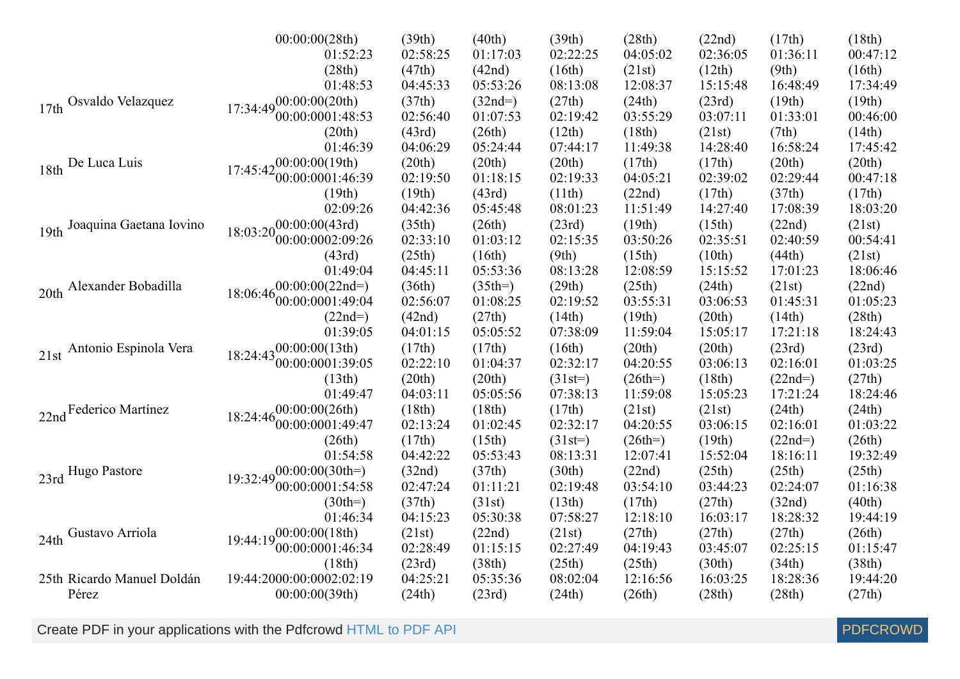|                               | 00:00:00(28th)                                         | (39th)   | (40th)    | (39th)    | (28th)    | (22nd)   | (17th)    | (18th)   |
|-------------------------------|--------------------------------------------------------|----------|-----------|-----------|-----------|----------|-----------|----------|
|                               | 01:52:23                                               | 02:58:25 | 01:17:03  | 02:22:25  | 04:05:02  | 02:36:05 | 01:36:11  | 00:47:12 |
|                               | (28th)                                                 | (47th)   | (42nd)    | (16th)    | (21st)    | (12th)   | (9th)     | (16th)   |
|                               | 01:48:53                                               | 04:45:33 | 05:53:26  | 08:13:08  | 12:08:37  | 15:15:48 | 16:48:49  | 17:34:49 |
| Osvaldo Velazquez<br>17th     | $17:34:49^{00:00:00(20th)}$                            | (37th)   | $(32nd=)$ | (27th)    | (24th)    | (23rd)   | (19th)    | (19th)   |
|                               | 00:00:0001:48:53                                       | 02:56:40 | 01:07:53  | 02:19:42  | 03:55:29  | 03:07:11 | 01:33:01  | 00:46:00 |
|                               | (20th)                                                 | (43rd)   | (26th)    | (12th)    | (18th)    | (21st)   | (7th)     | (14th)   |
|                               | 01:46:39                                               | 04:06:29 | 05:24:44  | 07:44:17  | 11:49:38  | 14:28:40 | 16:58:24  | 17:45:42 |
| 18th De Luca Luis             | $17:45:42_{00}^{00:00:00(19th)}$                       | (20th)   | (20th)    | (20th)    | (17th)    | (17th)   | (20th)    | (20th)   |
|                               | 00:00:0001:46:39                                       | 02:19:50 | 01:18:15  | 02:19:33  | 04:05:21  | 02:39:02 | 02:29:44  | 00:47:18 |
|                               | (19th)                                                 | (19th)   | (43rd)    | (11th)    | (22nd)    | (17th)   | (37th)    | (17th)   |
|                               | 02:09:26                                               | 04:42:36 | 05:45:48  | 08:01:23  | 11:51:49  | 14:27:40 | 17:08:39  | 18:03:20 |
| 19th Joaquina Gaetana Iovino  | $18:03:20_{00}^{00:00:00}(43rd)$                       | (35th)   | (26th)    | (23rd)    | (19th)    | (15th)   | (22nd)    | (21st)   |
|                               | 00:00:0002:09:26                                       | 02:33:10 | 01:03:12  | 02:15:35  | 03:50:26  | 02:35:51 | 02:40:59  | 00:54:41 |
|                               | (43rd)                                                 | (25th)   | (16th)    | (9th)     | (15th)    | (10th)   | (44th)    | (21st)   |
|                               | 01:49:04                                               | 04:45:11 | 05:53:36  | 08:13:28  | 12:08:59  | 15:15:52 | 17:01:23  | 18:06:46 |
| Alexander Bobadilla<br>20th   |                                                        | (36th)   | $(35th=)$ | (29th)    | (25th)    | (24th)   | (21st)    | (22nd)   |
|                               | $18:06:46\substack{00:00:00(22nd=)}{00:00:0001:49:04}$ | 02:56:07 | 01:08:25  | 02:19:52  | 03:55:31  | 03:06:53 | 01:45:31  | 01:05:23 |
|                               | $(22nd=)$                                              | (42nd)   | (27th)    | (14th)    | (19th)    | (20th)   | (14th)    | (28th)   |
|                               | 01:39:05                                               | 04:01:15 | 05:05:52  | 07:38:09  | 11:59:04  | 15:05:17 | 17:21:18  | 18:24:43 |
| Antonio Espinola Vera<br>21st | $18.24.43_{00}^{00.00000(13th)}$                       | (17th)   | (17th)    | (16th)    | (20th)    | (20th)   | (23rd)    | (23rd)   |
|                               | 00:00:0001:39:05                                       | 02:22:10 | 01:04:37  | 02:32:17  | 04:20:55  | 03:06:13 | 02:16:01  | 01:03:25 |
|                               | (13th)                                                 | (20th)   | (20th)    | $(31st=)$ | $(26th=)$ | (18th)   | $(22nd=)$ | (27th)   |
|                               | 01:49:47                                               | 04:03:11 | 05:05:56  | 07:38:13  | 11:59:08  | 15:05:23 | 17:21:24  | 18:24:46 |
| 22nd Federico Martínez        | $18:24:46^{00:00:00(26th)}_{0.0.00}$                   | (18th)   | (18th)    | (17th)    | (21st)    | (21st)   | (24th)    | (24th)   |
|                               | 00:00:0001:49:47                                       | 02:13:24 | 01:02:45  | 02:32:17  | 04:20:55  | 03:06:15 | 02:16:01  | 01:03:22 |
|                               | (26th)                                                 | (17th)   | (15th)    | $(31st=)$ | $(26th=)$ | (19th)   | $(22nd=)$ | (26th)   |
|                               | 01:54:58                                               | 04:42:22 | 05:53:43  | 08:13:31  | 12:07:41  | 15:52:04 | 18:16:11  | 19:32:49 |
| 23rd Hugo Pastore             | $19:32:49^{00:00:00(30th)}$                            | (32nd)   | (37th)    | (30th)    | (22nd)    | (25th)   | (25th)    | (25th)   |
|                               | 00:00:0001:54:58                                       | 02:47:24 | 01:11:21  | 02:19:48  | 03:54:10  | 03:44:23 | 02:24:07  | 01:16:38 |
|                               | $(30th=)$                                              | (37th)   | (31st)    | (13th)    | (17th)    | (27th)   | (32nd)    | (40th)   |
|                               | 01:46:34                                               | 04:15:23 | 05:30:38  | 07:58:27  | 12:18:10  | 16:03:17 | 18:28:32  | 19:44:19 |
| Gustavo Arriola<br>24th       | $19:44:19^{00:00:00(18th)}$                            | (21st)   | (22nd)    | (21st)    | (27th)    | (27th)   | (27th)    | (26th)   |
|                               | 00:00:0001:46:34                                       | 02:28:49 | 01:15:15  | 02:27:49  | 04:19:43  | 03:45:07 | 02:25:15  | 01:15:47 |
|                               | (18th)                                                 | (23rd)   | (38th)    | (25th)    | (25th)    | (30th)   | (34th)    | (38th)   |
| 25th Ricardo Manuel Doldán    | 19:44:2000:00:0002:02:19                               | 04:25:21 | 05:35:36  | 08:02:04  | 12:16:56  | 16:03:25 | 18:28:36  | 19:44:20 |
| Pérez                         | 00:00:00(39th)                                         | (24th)   | (23rd)    | (24th)    | (26th)    | (28th)   | (28th)    | (27th)   |

Create PDF in your applications with the Pdfcrowd [HTML to PDF API](https://pdfcrowd.com/doc/api/?ref=pdf) [PDFCROWD](https://pdfcrowd.com/?ref=pdf) Create PDF API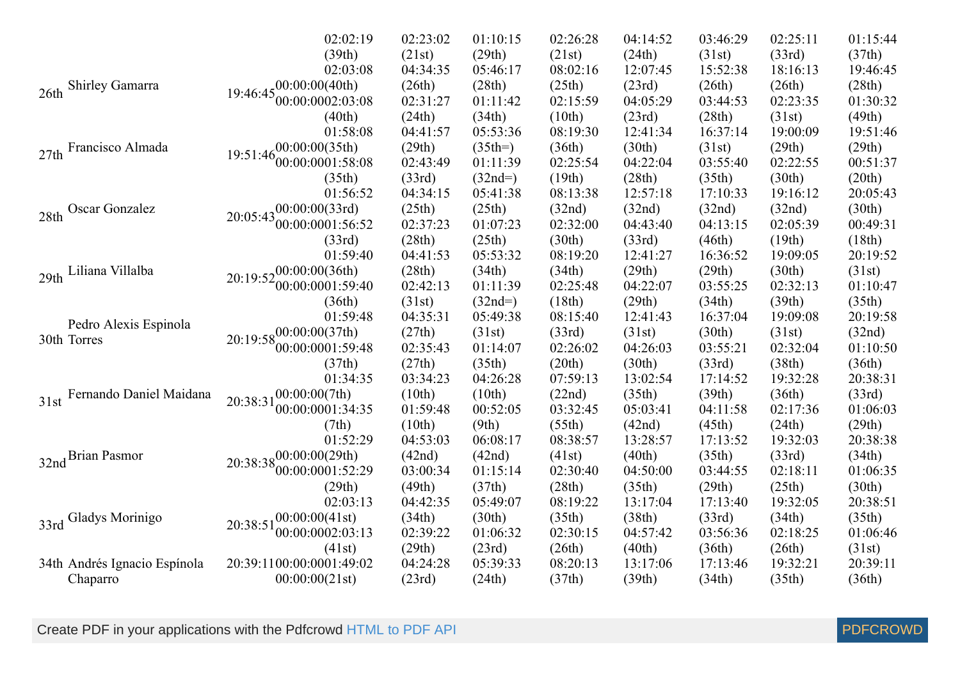|                                                                                                                                                                                                                                                                                                                                | 02:02:19                             | 02:23:02                                                                                                                                                                                                                                                                                                                                                                                                                                                                                                                                                                                                                                                                                                                                                                                                                                                                                                                                                                                                                                                                                                                                                                                                                                                                                                                                                                                                                                                                                                                                                                                                                                                                                                                                                                                                                                                                                                                                                                                                            | 01:10:15  | 02:26:28 | 04:14:52 | 03:46:29 | 02:25:11 | 01:15:44 |
|--------------------------------------------------------------------------------------------------------------------------------------------------------------------------------------------------------------------------------------------------------------------------------------------------------------------------------|--------------------------------------|---------------------------------------------------------------------------------------------------------------------------------------------------------------------------------------------------------------------------------------------------------------------------------------------------------------------------------------------------------------------------------------------------------------------------------------------------------------------------------------------------------------------------------------------------------------------------------------------------------------------------------------------------------------------------------------------------------------------------------------------------------------------------------------------------------------------------------------------------------------------------------------------------------------------------------------------------------------------------------------------------------------------------------------------------------------------------------------------------------------------------------------------------------------------------------------------------------------------------------------------------------------------------------------------------------------------------------------------------------------------------------------------------------------------------------------------------------------------------------------------------------------------------------------------------------------------------------------------------------------------------------------------------------------------------------------------------------------------------------------------------------------------------------------------------------------------------------------------------------------------------------------------------------------------------------------------------------------------------------------------------------------------|-----------|----------|----------|----------|----------|----------|
|                                                                                                                                                                                                                                                                                                                                | (39th)                               | (21st)                                                                                                                                                                                                                                                                                                                                                                                                                                                                                                                                                                                                                                                                                                                                                                                                                                                                                                                                                                                                                                                                                                                                                                                                                                                                                                                                                                                                                                                                                                                                                                                                                                                                                                                                                                                                                                                                                                                                                                                                              | (29th)    | (21st)   | (24th)   | (31st)   | (33rd)   | (37th)   |
|                                                                                                                                                                                                                                                                                                                                | 02:03:08                             | 04:34:35                                                                                                                                                                                                                                                                                                                                                                                                                                                                                                                                                                                                                                                                                                                                                                                                                                                                                                                                                                                                                                                                                                                                                                                                                                                                                                                                                                                                                                                                                                                                                                                                                                                                                                                                                                                                                                                                                                                                                                                                            | 05:46:17  | 08:02:16 | 12:07:45 | 15:52:38 | 18:16:13 | 19:46:45 |
| <b>Shirley Gamarra</b><br>26th                                                                                                                                                                                                                                                                                                 | $19:46:45\substack{00:00:00(40th)}$  |                                                                                                                                                                                                                                                                                                                                                                                                                                                                                                                                                                                                                                                                                                                                                                                                                                                                                                                                                                                                                                                                                                                                                                                                                                                                                                                                                                                                                                                                                                                                                                                                                                                                                                                                                                                                                                                                                                                                                                                                                     | (28th)    |          | (23rd)   | (26th)   |          | (28th)   |
|                                                                                                                                                                                                                                                                                                                                | 00:00:0002:03:08                     | 02:31:27                                                                                                                                                                                                                                                                                                                                                                                                                                                                                                                                                                                                                                                                                                                                                                                                                                                                                                                                                                                                                                                                                                                                                                                                                                                                                                                                                                                                                                                                                                                                                                                                                                                                                                                                                                                                                                                                                                                                                                                                            | 01:11:42  | 02:15:59 | 04:05:29 | 03:44:53 | 02:23:35 | 01:30:32 |
|                                                                                                                                                                                                                                                                                                                                | (40th)                               |                                                                                                                                                                                                                                                                                                                                                                                                                                                                                                                                                                                                                                                                                                                                                                                                                                                                                                                                                                                                                                                                                                                                                                                                                                                                                                                                                                                                                                                                                                                                                                                                                                                                                                                                                                                                                                                                                                                                                                                                                     |           |          |          |          |          | (49th)   |
|                                                                                                                                                                                                                                                                                                                                | 01:58:08                             | 04:41:57                                                                                                                                                                                                                                                                                                                                                                                                                                                                                                                                                                                                                                                                                                                                                                                                                                                                                                                                                                                                                                                                                                                                                                                                                                                                                                                                                                                                                                                                                                                                                                                                                                                                                                                                                                                                                                                                                                                                                                                                            | 05:53:36  | 08:19:30 | 12:41:34 | 16:37:14 | 19:00:09 | 19:51:46 |
| Francisco Almada<br>27th                                                                                                                                                                                                                                                                                                       | $-00:00:00(35th)$                    | (29th)                                                                                                                                                                                                                                                                                                                                                                                                                                                                                                                                                                                                                                                                                                                                                                                                                                                                                                                                                                                                                                                                                                                                                                                                                                                                                                                                                                                                                                                                                                                                                                                                                                                                                                                                                                                                                                                                                                                                                                                                              | $(35th=)$ | (36th)   | (30th)   | (31st)   | (29th)   | (29th)   |
|                                                                                                                                                                                                                                                                                                                                | 19:51:46<br>00:00:0001:58:08         | (26th)<br>(25th)<br>(26th)<br>(34th)<br>(28th)<br>(24th)<br>(10th)<br>(23rd)<br>(31st)<br>02:43:49<br>01:11:39<br>02:25:54<br>04:22:04<br>02:22:55<br>03:55:40<br>(19th)<br>(28th)<br>(30th)<br>(33rd)<br>$(32nd=)$<br>(35th)<br>04:34:15<br>05:41:38<br>08:13:38<br>12:57:18<br>17:10:33<br>19:16:12<br>(25th)<br>(25th)<br>(32nd)<br>(32nd)<br>(32nd)<br>(32nd)<br>02:37:23<br>02:32:00<br>02:05:39<br>01:07:23<br>04:43:40<br>04:13:15<br>(28th)<br>(25th)<br>(30th)<br>(33rd)<br>(46th)<br>(19th)<br>05:53:32<br>04:41:53<br>08:19:20<br>12:41:27<br>19:09:05<br>16:36:52<br>(29th)<br>(28th)<br>(34th)<br>(34th)<br>(29th)<br>(30th)<br>02:25:48<br>04:22:07<br>02:42:13<br>01:11:39<br>03:55:25<br>02:32:13<br>(31st)<br>(29th)<br>$(32nd=)$<br>(18th)<br>(34th)<br>(39th)<br>04:35:31<br>05:49:38<br>08:15:40<br>12:41:43<br>16:37:04<br>19:09:08<br>(27th)<br>(30th)<br>(31st)<br>(33rd)<br>(31st)<br>(31st)<br>02:26:02<br>02:32:04<br>02:35:43<br>01:14:07<br>04:26:03<br>03:55:21<br>(27th)<br>(35th)<br>(20th)<br>(30th)<br>(38th)<br>(33rd)<br>03:34:23<br>04:26:28<br>07:59:13<br>13:02:54<br>17:14:52<br>19:32:28<br>(10th)<br>(10th)<br>(22nd)<br>(35th)<br>(39th)<br>(36th)<br>01:59:48<br>00:52:05<br>03:32:45<br>05:03:41<br>04:11:58<br>02:17:36<br>(10th)<br>(9th)<br>(55th)<br>(42nd)<br>(45th)<br>(24th)<br>04:53:03<br>06:08:17<br>19:32:03<br>08:38:57<br>13:28:57<br>17:13:52<br>(42nd)<br>(42nd)<br>(40th)<br>(35th)<br>(33rd)<br>(41st)<br>03:00:34<br>01:15:14<br>02:30:40<br>04:50:00<br>03:44:55<br>02:18:11<br>(29th)<br>(49th)<br>(37th)<br>(28th)<br>(35th)<br>(25th)<br>08:19:22<br>04:42:35<br>05:49:07<br>13:17:04<br>17:13:40<br>19:32:05<br>(34th)<br>(30th)<br>(35th)<br>(38th)<br>(33rd)<br>(34th)<br>02:39:22<br>02:30:15<br>01:06:32<br>04:57:42<br>03:56:36<br>02:18:25<br>(29th)<br>(23rd)<br>(26th)<br>(40th)<br>(36th)<br>(26th)<br>04:24:28<br>05:39:33<br>08:20:13<br>17:13:46<br>19:32:21<br>13:17:06<br>(37th)<br>(39th)<br>(23rd)<br>(24th)<br>(34th)<br>(35th) | 00:51:37  |          |          |          |          |          |
|                                                                                                                                                                                                                                                                                                                                | (35th)                               |                                                                                                                                                                                                                                                                                                                                                                                                                                                                                                                                                                                                                                                                                                                                                                                                                                                                                                                                                                                                                                                                                                                                                                                                                                                                                                                                                                                                                                                                                                                                                                                                                                                                                                                                                                                                                                                                                                                                                                                                                     |           |          |          |          |          | (20th)   |
|                                                                                                                                                                                                                                                                                                                                | 01:56:52                             |                                                                                                                                                                                                                                                                                                                                                                                                                                                                                                                                                                                                                                                                                                                                                                                                                                                                                                                                                                                                                                                                                                                                                                                                                                                                                                                                                                                                                                                                                                                                                                                                                                                                                                                                                                                                                                                                                                                                                                                                                     |           |          |          |          |          | 20:05:43 |
|                                                                                                                                                                                                                                                                                                                                |                                      |                                                                                                                                                                                                                                                                                                                                                                                                                                                                                                                                                                                                                                                                                                                                                                                                                                                                                                                                                                                                                                                                                                                                                                                                                                                                                                                                                                                                                                                                                                                                                                                                                                                                                                                                                                                                                                                                                                                                                                                                                     |           |          |          |          |          | (30th)   |
| $20:05:43\begin{matrix}00:00:00(33 \mathrm{rd})\0:00:0001:56:52\end{matrix}$<br>28th Oscar Gonzalez<br>(33rd)<br>01:59:40<br>Liliana Villalba<br>$20:19:52_{00}^{00:00:00(36th)}$<br>29th<br>00:00:0001:59:40<br>(36th)<br>01:59:48<br>Pedro Alexis Espinola<br>$20:19:58^{00:00:00(37th)}$<br>30th Torres<br>00:00:0001:59:48 |                                      |                                                                                                                                                                                                                                                                                                                                                                                                                                                                                                                                                                                                                                                                                                                                                                                                                                                                                                                                                                                                                                                                                                                                                                                                                                                                                                                                                                                                                                                                                                                                                                                                                                                                                                                                                                                                                                                                                                                                                                                                                     |           |          |          |          | 00:49:31 |          |
|                                                                                                                                                                                                                                                                                                                                |                                      |                                                                                                                                                                                                                                                                                                                                                                                                                                                                                                                                                                                                                                                                                                                                                                                                                                                                                                                                                                                                                                                                                                                                                                                                                                                                                                                                                                                                                                                                                                                                                                                                                                                                                                                                                                                                                                                                                                                                                                                                                     |           |          |          |          |          | (18th)   |
|                                                                                                                                                                                                                                                                                                                                |                                      |                                                                                                                                                                                                                                                                                                                                                                                                                                                                                                                                                                                                                                                                                                                                                                                                                                                                                                                                                                                                                                                                                                                                                                                                                                                                                                                                                                                                                                                                                                                                                                                                                                                                                                                                                                                                                                                                                                                                                                                                                     |           |          |          |          |          | 20:19:52 |
|                                                                                                                                                                                                                                                                                                                                |                                      |                                                                                                                                                                                                                                                                                                                                                                                                                                                                                                                                                                                                                                                                                                                                                                                                                                                                                                                                                                                                                                                                                                                                                                                                                                                                                                                                                                                                                                                                                                                                                                                                                                                                                                                                                                                                                                                                                                                                                                                                                     |           |          |          |          |          | (31st)   |
|                                                                                                                                                                                                                                                                                                                                |                                      |                                                                                                                                                                                                                                                                                                                                                                                                                                                                                                                                                                                                                                                                                                                                                                                                                                                                                                                                                                                                                                                                                                                                                                                                                                                                                                                                                                                                                                                                                                                                                                                                                                                                                                                                                                                                                                                                                                                                                                                                                     |           |          |          |          |          | 01:10:47 |
|                                                                                                                                                                                                                                                                                                                                |                                      |                                                                                                                                                                                                                                                                                                                                                                                                                                                                                                                                                                                                                                                                                                                                                                                                                                                                                                                                                                                                                                                                                                                                                                                                                                                                                                                                                                                                                                                                                                                                                                                                                                                                                                                                                                                                                                                                                                                                                                                                                     |           |          |          |          |          | (35th)   |
|                                                                                                                                                                                                                                                                                                                                |                                      |                                                                                                                                                                                                                                                                                                                                                                                                                                                                                                                                                                                                                                                                                                                                                                                                                                                                                                                                                                                                                                                                                                                                                                                                                                                                                                                                                                                                                                                                                                                                                                                                                                                                                                                                                                                                                                                                                                                                                                                                                     |           |          |          |          |          | 20:19:58 |
|                                                                                                                                                                                                                                                                                                                                |                                      |                                                                                                                                                                                                                                                                                                                                                                                                                                                                                                                                                                                                                                                                                                                                                                                                                                                                                                                                                                                                                                                                                                                                                                                                                                                                                                                                                                                                                                                                                                                                                                                                                                                                                                                                                                                                                                                                                                                                                                                                                     |           |          |          |          |          | (32nd)   |
|                                                                                                                                                                                                                                                                                                                                |                                      |                                                                                                                                                                                                                                                                                                                                                                                                                                                                                                                                                                                                                                                                                                                                                                                                                                                                                                                                                                                                                                                                                                                                                                                                                                                                                                                                                                                                                                                                                                                                                                                                                                                                                                                                                                                                                                                                                                                                                                                                                     |           |          |          |          |          | 01:10:50 |
|                                                                                                                                                                                                                                                                                                                                | (37th)                               |                                                                                                                                                                                                                                                                                                                                                                                                                                                                                                                                                                                                                                                                                                                                                                                                                                                                                                                                                                                                                                                                                                                                                                                                                                                                                                                                                                                                                                                                                                                                                                                                                                                                                                                                                                                                                                                                                                                                                                                                                     |           |          |          |          |          | (36th)   |
|                                                                                                                                                                                                                                                                                                                                | 01:34:35                             |                                                                                                                                                                                                                                                                                                                                                                                                                                                                                                                                                                                                                                                                                                                                                                                                                                                                                                                                                                                                                                                                                                                                                                                                                                                                                                                                                                                                                                                                                                                                                                                                                                                                                                                                                                                                                                                                                                                                                                                                                     |           |          |          |          |          | 20:38:31 |
| Fernando Daniel Maidana<br>31st                                                                                                                                                                                                                                                                                                | 20:38:31                             |                                                                                                                                                                                                                                                                                                                                                                                                                                                                                                                                                                                                                                                                                                                                                                                                                                                                                                                                                                                                                                                                                                                                                                                                                                                                                                                                                                                                                                                                                                                                                                                                                                                                                                                                                                                                                                                                                                                                                                                                                     |           |          |          |          |          | (33rd)   |
|                                                                                                                                                                                                                                                                                                                                | $100:00:00(7th)$<br>00:00:0001:34:35 |                                                                                                                                                                                                                                                                                                                                                                                                                                                                                                                                                                                                                                                                                                                                                                                                                                                                                                                                                                                                                                                                                                                                                                                                                                                                                                                                                                                                                                                                                                                                                                                                                                                                                                                                                                                                                                                                                                                                                                                                                     |           |          |          |          |          | 01:06:03 |
|                                                                                                                                                                                                                                                                                                                                | (7th)                                |                                                                                                                                                                                                                                                                                                                                                                                                                                                                                                                                                                                                                                                                                                                                                                                                                                                                                                                                                                                                                                                                                                                                                                                                                                                                                                                                                                                                                                                                                                                                                                                                                                                                                                                                                                                                                                                                                                                                                                                                                     |           |          |          |          |          | (29th)   |
|                                                                                                                                                                                                                                                                                                                                | 01:52:29                             |                                                                                                                                                                                                                                                                                                                                                                                                                                                                                                                                                                                                                                                                                                                                                                                                                                                                                                                                                                                                                                                                                                                                                                                                                                                                                                                                                                                                                                                                                                                                                                                                                                                                                                                                                                                                                                                                                                                                                                                                                     |           |          |          |          |          | 20:38:38 |
| 32nd Brian Pasmor                                                                                                                                                                                                                                                                                                              | $20:38:38^{00:00:00(29th)}$          |                                                                                                                                                                                                                                                                                                                                                                                                                                                                                                                                                                                                                                                                                                                                                                                                                                                                                                                                                                                                                                                                                                                                                                                                                                                                                                                                                                                                                                                                                                                                                                                                                                                                                                                                                                                                                                                                                                                                                                                                                     |           |          |          |          |          | (34th)   |
|                                                                                                                                                                                                                                                                                                                                | 00:00:0001:52:29                     |                                                                                                                                                                                                                                                                                                                                                                                                                                                                                                                                                                                                                                                                                                                                                                                                                                                                                                                                                                                                                                                                                                                                                                                                                                                                                                                                                                                                                                                                                                                                                                                                                                                                                                                                                                                                                                                                                                                                                                                                                     |           |          |          |          |          | 01:06:35 |
|                                                                                                                                                                                                                                                                                                                                | (29th)                               |                                                                                                                                                                                                                                                                                                                                                                                                                                                                                                                                                                                                                                                                                                                                                                                                                                                                                                                                                                                                                                                                                                                                                                                                                                                                                                                                                                                                                                                                                                                                                                                                                                                                                                                                                                                                                                                                                                                                                                                                                     |           |          |          |          |          | (30th)   |
|                                                                                                                                                                                                                                                                                                                                | 02:03:13                             |                                                                                                                                                                                                                                                                                                                                                                                                                                                                                                                                                                                                                                                                                                                                                                                                                                                                                                                                                                                                                                                                                                                                                                                                                                                                                                                                                                                                                                                                                                                                                                                                                                                                                                                                                                                                                                                                                                                                                                                                                     |           |          |          |          |          | 20:38:51 |
| 33rd Gladys Morinigo                                                                                                                                                                                                                                                                                                           | 00:00:00(41st)<br>20:38:51           |                                                                                                                                                                                                                                                                                                                                                                                                                                                                                                                                                                                                                                                                                                                                                                                                                                                                                                                                                                                                                                                                                                                                                                                                                                                                                                                                                                                                                                                                                                                                                                                                                                                                                                                                                                                                                                                                                                                                                                                                                     |           |          |          |          |          | (35th)   |
|                                                                                                                                                                                                                                                                                                                                | 00:00:0002:03:13                     |                                                                                                                                                                                                                                                                                                                                                                                                                                                                                                                                                                                                                                                                                                                                                                                                                                                                                                                                                                                                                                                                                                                                                                                                                                                                                                                                                                                                                                                                                                                                                                                                                                                                                                                                                                                                                                                                                                                                                                                                                     |           |          |          |          |          | 01:06:46 |
|                                                                                                                                                                                                                                                                                                                                | (41st)                               |                                                                                                                                                                                                                                                                                                                                                                                                                                                                                                                                                                                                                                                                                                                                                                                                                                                                                                                                                                                                                                                                                                                                                                                                                                                                                                                                                                                                                                                                                                                                                                                                                                                                                                                                                                                                                                                                                                                                                                                                                     |           |          |          |          |          | (31st)   |
| 34th Andrés Ignacio Espínola                                                                                                                                                                                                                                                                                                   | 20:39:1100:00:0001:49:02             |                                                                                                                                                                                                                                                                                                                                                                                                                                                                                                                                                                                                                                                                                                                                                                                                                                                                                                                                                                                                                                                                                                                                                                                                                                                                                                                                                                                                                                                                                                                                                                                                                                                                                                                                                                                                                                                                                                                                                                                                                     |           |          |          |          |          | 20:39:11 |
| Chaparro                                                                                                                                                                                                                                                                                                                       | 00:00:00(21st)                       |                                                                                                                                                                                                                                                                                                                                                                                                                                                                                                                                                                                                                                                                                                                                                                                                                                                                                                                                                                                                                                                                                                                                                                                                                                                                                                                                                                                                                                                                                                                                                                                                                                                                                                                                                                                                                                                                                                                                                                                                                     |           |          |          |          |          | (36th)   |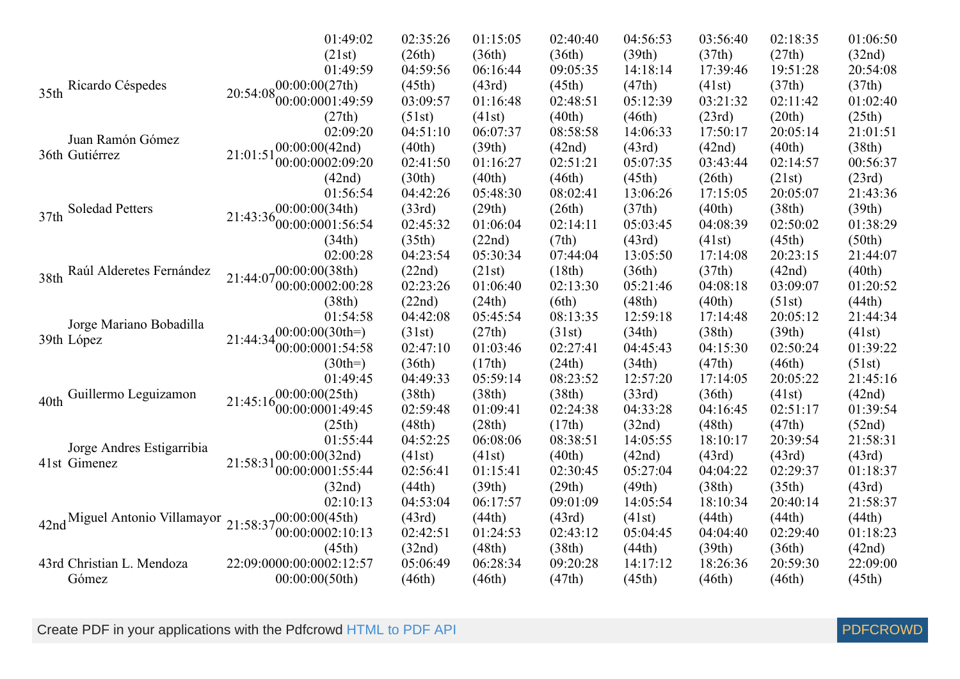|                                  | 01:49:02                                                                                                                                                                                                                                                                                                                                                                                                                                                                            | 02:35:26                                                                                                                                                                                                                                                                                                                                                                                                                                                                                                                                                                                                                                                                                                               | 01:15:05 | 02:40:40 | 04:56:53 | 03:56:40 | 02:18:35 | 01:06:50 |
|----------------------------------|-------------------------------------------------------------------------------------------------------------------------------------------------------------------------------------------------------------------------------------------------------------------------------------------------------------------------------------------------------------------------------------------------------------------------------------------------------------------------------------|------------------------------------------------------------------------------------------------------------------------------------------------------------------------------------------------------------------------------------------------------------------------------------------------------------------------------------------------------------------------------------------------------------------------------------------------------------------------------------------------------------------------------------------------------------------------------------------------------------------------------------------------------------------------------------------------------------------------|----------|----------|----------|----------|----------|----------|
|                                  | (21st)                                                                                                                                                                                                                                                                                                                                                                                                                                                                              | (26th)                                                                                                                                                                                                                                                                                                                                                                                                                                                                                                                                                                                                                                                                                                                 | (36th)   | (36th)   | (39th)   | (37th)   | (27th)   | (32nd)   |
|                                  | 01:49:59                                                                                                                                                                                                                                                                                                                                                                                                                                                                            | 04:59:56                                                                                                                                                                                                                                                                                                                                                                                                                                                                                                                                                                                                                                                                                                               | 06:16:44 | 09:05:35 | 14:18:14 | 17:39:46 | 19:51:28 | 20:54:08 |
| Ricardo Céspedes<br>35th         | ,00:00:00(27th)                                                                                                                                                                                                                                                                                                                                                                                                                                                                     | (45th)                                                                                                                                                                                                                                                                                                                                                                                                                                                                                                                                                                                                                                                                                                                 | (43rd)   | (45th)   | (47th)   | (41st)   | (37th)   | (37th)   |
|                                  | 20:54:08<br>00:00:0001:49:59                                                                                                                                                                                                                                                                                                                                                                                                                                                        | 03:09:57                                                                                                                                                                                                                                                                                                                                                                                                                                                                                                                                                                                                                                                                                                               | 01:16:48 | 02:48:51 | 05:12:39 | 03:21:32 | 02:11:42 | 01:02:40 |
|                                  | (27th)                                                                                                                                                                                                                                                                                                                                                                                                                                                                              | (51st)<br>(41st)<br>(40th)<br>04:51:10<br>06:07:37<br>08:58:58<br>(40th)<br>(39th)<br>(42nd)<br>02:41:50<br>02:51:21<br>01:16:27<br>(30th)<br>(40th)<br>(46th)<br>04:42:26<br>05:48:30<br>08:02:41<br>(33rd)<br>(29th)<br>(26th)<br>02:45:32<br>01:06:04<br>02:14:11<br>(35th)<br>(22nd)<br>(7th)<br>04:23:54<br>05:30:34<br>07:44:04<br>(22nd)<br>(21st)<br>(18th)<br>02:23:26<br>02:13:30<br>01:06:40<br>(38th)<br>(22nd)<br>(24th)<br>(6th)<br>04:42:08<br>05:45:54<br>08:13:35<br>(27th)<br>(31st)<br>(31st)<br>02:27:41<br>02:47:10<br>01:03:46<br>(24th)<br>(36th)<br>(17th)<br>04:49:33<br>05:59:14<br>08:23:52<br>(38th)<br>(38th)<br>(38th)<br>02:59:48<br>01:09:41<br>02:24:38<br>(48th)<br>(28th)<br>(17th) | (46th)   | (23rd)   | (20th)   | (25th)   |          |          |
|                                  | 02:09:20                                                                                                                                                                                                                                                                                                                                                                                                                                                                            |                                                                                                                                                                                                                                                                                                                                                                                                                                                                                                                                                                                                                                                                                                                        |          |          | 14:06:33 | 17:50:17 | 20:05:14 | 21:01:51 |
|                                  |                                                                                                                                                                                                                                                                                                                                                                                                                                                                                     |                                                                                                                                                                                                                                                                                                                                                                                                                                                                                                                                                                                                                                                                                                                        |          |          | (43rd)   | (42nd)   | (40th)   | (38th)   |
| 36th Gutiérrez                   | 00:00:0002:09:20                                                                                                                                                                                                                                                                                                                                                                                                                                                                    |                                                                                                                                                                                                                                                                                                                                                                                                                                                                                                                                                                                                                                                                                                                        |          |          | 05:07:35 | 03:43:44 | 02:14:57 | 00:56:37 |
|                                  | (42nd)                                                                                                                                                                                                                                                                                                                                                                                                                                                                              |                                                                                                                                                                                                                                                                                                                                                                                                                                                                                                                                                                                                                                                                                                                        |          |          | (45th)   | (26th)   | (21st)   | (23rd)   |
|                                  | 01:56:54                                                                                                                                                                                                                                                                                                                                                                                                                                                                            |                                                                                                                                                                                                                                                                                                                                                                                                                                                                                                                                                                                                                                                                                                                        |          |          | 13:06:26 | 17:15:05 | 20:05:07 | 21:43:36 |
| Soledad Petters<br>37th          |                                                                                                                                                                                                                                                                                                                                                                                                                                                                                     |                                                                                                                                                                                                                                                                                                                                                                                                                                                                                                                                                                                                                                                                                                                        |          |          | (37th)   | (40th)   | (38th)   | (39th)   |
|                                  |                                                                                                                                                                                                                                                                                                                                                                                                                                                                                     |                                                                                                                                                                                                                                                                                                                                                                                                                                                                                                                                                                                                                                                                                                                        |          |          | 05:03:45 | 04:08:39 | 02:50:02 | 01:38:29 |
|                                  | (34th)                                                                                                                                                                                                                                                                                                                                                                                                                                                                              |                                                                                                                                                                                                                                                                                                                                                                                                                                                                                                                                                                                                                                                                                                                        |          |          | (43rd)   | (41st)   | (45th)   | (50th)   |
|                                  | 02:00:28                                                                                                                                                                                                                                                                                                                                                                                                                                                                            |                                                                                                                                                                                                                                                                                                                                                                                                                                                                                                                                                                                                                                                                                                                        |          |          | 13:05:50 | 17:14:08 | 20:23:15 | 21:44:07 |
| Raúl Alderetes Fernández<br>38th |                                                                                                                                                                                                                                                                                                                                                                                                                                                                                     |                                                                                                                                                                                                                                                                                                                                                                                                                                                                                                                                                                                                                                                                                                                        |          |          | (36th)   | (37th)   | (42nd)   | (40th)   |
|                                  | 00:00:0002:00:28                                                                                                                                                                                                                                                                                                                                                                                                                                                                    |                                                                                                                                                                                                                                                                                                                                                                                                                                                                                                                                                                                                                                                                                                                        |          |          | 05:21:46 | 04:08:18 | 03:09:07 | 01:20:52 |
|                                  |                                                                                                                                                                                                                                                                                                                                                                                                                                                                                     |                                                                                                                                                                                                                                                                                                                                                                                                                                                                                                                                                                                                                                                                                                                        |          |          | (48th)   | (40th)   | (51st)   | (44th)   |
|                                  | 01:54:58                                                                                                                                                                                                                                                                                                                                                                                                                                                                            |                                                                                                                                                                                                                                                                                                                                                                                                                                                                                                                                                                                                                                                                                                                        |          |          | 12:59:18 | 17:14:48 | 20:05:12 | 21:44:34 |
| 39th López                       |                                                                                                                                                                                                                                                                                                                                                                                                                                                                                     |                                                                                                                                                                                                                                                                                                                                                                                                                                                                                                                                                                                                                                                                                                                        |          |          | (34th)   | (38th)   | (39th)   | (41st)   |
|                                  |                                                                                                                                                                                                                                                                                                                                                                                                                                                                                     |                                                                                                                                                                                                                                                                                                                                                                                                                                                                                                                                                                                                                                                                                                                        |          |          | 04:45:43 | 04:15:30 | 02:50:24 | 01:39:22 |
|                                  | $(30th=)$                                                                                                                                                                                                                                                                                                                                                                                                                                                                           |                                                                                                                                                                                                                                                                                                                                                                                                                                                                                                                                                                                                                                                                                                                        |          |          | (34th)   | (47th)   | (46th)   | (51st)   |
|                                  | 01:49:45                                                                                                                                                                                                                                                                                                                                                                                                                                                                            |                                                                                                                                                                                                                                                                                                                                                                                                                                                                                                                                                                                                                                                                                                                        |          |          | 12:57:20 | 17:14:05 | 20:05:22 | 21:45:16 |
| Guillermo Leguizamon<br>40th     |                                                                                                                                                                                                                                                                                                                                                                                                                                                                                     |                                                                                                                                                                                                                                                                                                                                                                                                                                                                                                                                                                                                                                                                                                                        |          |          | (33rd)   | (36th)   | (41st)   | (42nd)   |
|                                  |                                                                                                                                                                                                                                                                                                                                                                                                                                                                                     |                                                                                                                                                                                                                                                                                                                                                                                                                                                                                                                                                                                                                                                                                                                        |          |          | 04:33:28 | 04:16:45 | 02:51:17 | 01:39:54 |
|                                  | (25th)                                                                                                                                                                                                                                                                                                                                                                                                                                                                              |                                                                                                                                                                                                                                                                                                                                                                                                                                                                                                                                                                                                                                                                                                                        |          |          | (32nd)   | (48th)   | (47th)   | (52nd)   |
|                                  | 01:55:44                                                                                                                                                                                                                                                                                                                                                                                                                                                                            | 04:52:25                                                                                                                                                                                                                                                                                                                                                                                                                                                                                                                                                                                                                                                                                                               | 06:08:06 | 08:38:51 | 14:05:55 | 18:10:17 | 20:39:54 | 21:58:31 |
| 41st Gimenez                     | 00:00:00(32nd)                                                                                                                                                                                                                                                                                                                                                                                                                                                                      | (41st)                                                                                                                                                                                                                                                                                                                                                                                                                                                                                                                                                                                                                                                                                                                 | (41st)   | (40th)   | (42nd)   | (43rd)   | (43rd)   | (43rd)   |
|                                  | 00:00:0001:55:44                                                                                                                                                                                                                                                                                                                                                                                                                                                                    | 02:56:41                                                                                                                                                                                                                                                                                                                                                                                                                                                                                                                                                                                                                                                                                                               | 01:15:41 | 02:30:45 | 05:27:04 | 04:04:22 | 02:29:37 | 01:18:37 |
|                                  | (32nd)                                                                                                                                                                                                                                                                                                                                                                                                                                                                              | (44th)                                                                                                                                                                                                                                                                                                                                                                                                                                                                                                                                                                                                                                                                                                                 | (39th)   | (29th)   | (49th)   | (38th)   | (35th)   | (43rd)   |
|                                  | 02:10:13                                                                                                                                                                                                                                                                                                                                                                                                                                                                            | 04:53:04                                                                                                                                                                                                                                                                                                                                                                                                                                                                                                                                                                                                                                                                                                               | 06:17:57 | 09:01:09 | 14:05:54 | 18:10:34 | 20:40:14 | 21:58:37 |
|                                  |                                                                                                                                                                                                                                                                                                                                                                                                                                                                                     | (43rd)                                                                                                                                                                                                                                                                                                                                                                                                                                                                                                                                                                                                                                                                                                                 | (44th)   | (43rd)   | (41st)   | (44th)   | (44th)   | (44th)   |
|                                  | Juan Ramón Gómez<br>$21:01:51_{00}^{00}:00:00(42nd)$<br>$-00:00:00(34th)$<br>$21:43:36_{00:00:0001:56:54}^{00:00:00001:56:54}$<br>$21:44:07_{00}^{00}:00:00(38th)$<br>Jorge Mariano Bobadilla<br>$21:44:34_{00}^{00:00:00(30th=)}$<br>00:00:0001:54:58<br>(00:00:00(25th))<br>21:45:16<br>00:00:00001:49:45<br>Jorge Andres Estigarribia<br>21:58:31<br>$21:58:37^{00:00:00(45th)}_{0.0}$<br>42nd Miguel Antonio Villamayor<br>00:00:0002:10:13<br>02:42:51<br>01:24:53<br>02:43:12 |                                                                                                                                                                                                                                                                                                                                                                                                                                                                                                                                                                                                                                                                                                                        | 05:04:45 | 04:04:40 | 02:29:40 | 01:18:23 |          |          |
|                                  | (45th)                                                                                                                                                                                                                                                                                                                                                                                                                                                                              | (32nd)                                                                                                                                                                                                                                                                                                                                                                                                                                                                                                                                                                                                                                                                                                                 | (48th)   | (38th)   | (44th)   | (39th)   | (36th)   | (42nd)   |
| 43rd Christian L. Mendoza        | 22:09:0000:00:0002:12:57                                                                                                                                                                                                                                                                                                                                                                                                                                                            | 05:06:49                                                                                                                                                                                                                                                                                                                                                                                                                                                                                                                                                                                                                                                                                                               | 06:28:34 | 09:20:28 | 14:17:12 | 18:26:36 | 20:59:30 | 22:09:00 |
| Gómez                            | 00:00:00(50th)                                                                                                                                                                                                                                                                                                                                                                                                                                                                      | (46th)                                                                                                                                                                                                                                                                                                                                                                                                                                                                                                                                                                                                                                                                                                                 | (46th)   | (47th)   | (45th)   | (46th)   | (46th)   | (45th)   |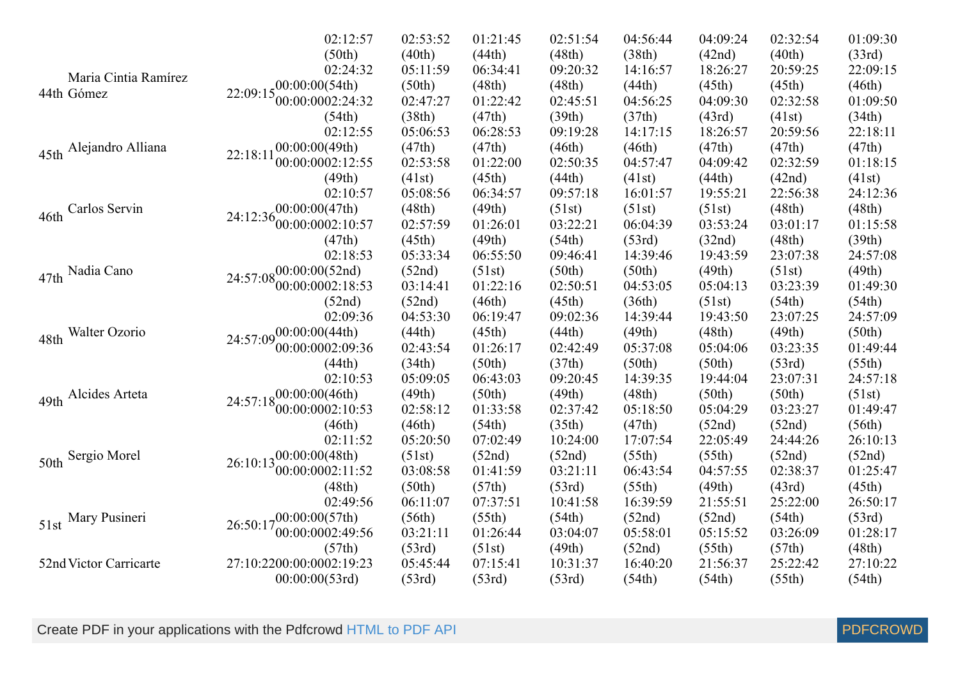|                        | 02:12:57                                                                                                                                                                                                                                                                                                                                                                                                                                                                                                                                                                                                                                                                                                                                                                                                                                                                                                                                                                                                                                                                                                                                                                                                                                                                                                                                                                                                                                                                                                                                                                                                                                                                                                                                                                                                                                                                                                                                                                                                                                                                                                                                                                                                                                                                                                                                                                                                                                                                                                                                                                                                                                                                                                                             | 02:53:52 | 01:21:45 | 02:51:54 | 04:56:44 | 04:09:24 | 02:32:54 | 01:09:30 |
|------------------------|--------------------------------------------------------------------------------------------------------------------------------------------------------------------------------------------------------------------------------------------------------------------------------------------------------------------------------------------------------------------------------------------------------------------------------------------------------------------------------------------------------------------------------------------------------------------------------------------------------------------------------------------------------------------------------------------------------------------------------------------------------------------------------------------------------------------------------------------------------------------------------------------------------------------------------------------------------------------------------------------------------------------------------------------------------------------------------------------------------------------------------------------------------------------------------------------------------------------------------------------------------------------------------------------------------------------------------------------------------------------------------------------------------------------------------------------------------------------------------------------------------------------------------------------------------------------------------------------------------------------------------------------------------------------------------------------------------------------------------------------------------------------------------------------------------------------------------------------------------------------------------------------------------------------------------------------------------------------------------------------------------------------------------------------------------------------------------------------------------------------------------------------------------------------------------------------------------------------------------------------------------------------------------------------------------------------------------------------------------------------------------------------------------------------------------------------------------------------------------------------------------------------------------------------------------------------------------------------------------------------------------------------------------------------------------------------------------------------------------------|----------|----------|----------|----------|----------|----------|----------|
|                        | (50th)                                                                                                                                                                                                                                                                                                                                                                                                                                                                                                                                                                                                                                                                                                                                                                                                                                                                                                                                                                                                                                                                                                                                                                                                                                                                                                                                                                                                                                                                                                                                                                                                                                                                                                                                                                                                                                                                                                                                                                                                                                                                                                                                                                                                                                                                                                                                                                                                                                                                                                                                                                                                                                                                                                                               | (40th)   | (44th)   | (48th)   | (38th)   | (42nd)   | (40th)   | (33rd)   |
|                        | 02:24:32                                                                                                                                                                                                                                                                                                                                                                                                                                                                                                                                                                                                                                                                                                                                                                                                                                                                                                                                                                                                                                                                                                                                                                                                                                                                                                                                                                                                                                                                                                                                                                                                                                                                                                                                                                                                                                                                                                                                                                                                                                                                                                                                                                                                                                                                                                                                                                                                                                                                                                                                                                                                                                                                                                                             | 05:11:59 | 06:34:41 | 09:20:32 | 14:16:57 | 18:26:27 | 20:59:25 | 22:09:15 |
| Maria Cintia Ramírez   |                                                                                                                                                                                                                                                                                                                                                                                                                                                                                                                                                                                                                                                                                                                                                                                                                                                                                                                                                                                                                                                                                                                                                                                                                                                                                                                                                                                                                                                                                                                                                                                                                                                                                                                                                                                                                                                                                                                                                                                                                                                                                                                                                                                                                                                                                                                                                                                                                                                                                                                                                                                                                                                                                                                                      |          |          |          | (44th)   |          |          | (46th)   |
| 44th Gómez             | 00:00:0002:24:32                                                                                                                                                                                                                                                                                                                                                                                                                                                                                                                                                                                                                                                                                                                                                                                                                                                                                                                                                                                                                                                                                                                                                                                                                                                                                                                                                                                                                                                                                                                                                                                                                                                                                                                                                                                                                                                                                                                                                                                                                                                                                                                                                                                                                                                                                                                                                                                                                                                                                                                                                                                                                                                                                                                     | 02:47:27 | 01:22:42 | 02:45:51 | 04:56:25 | 04:09:30 | 02:32:58 | 01:09:50 |
|                        | (54th)                                                                                                                                                                                                                                                                                                                                                                                                                                                                                                                                                                                                                                                                                                                                                                                                                                                                                                                                                                                                                                                                                                                                                                                                                                                                                                                                                                                                                                                                                                                                                                                                                                                                                                                                                                                                                                                                                                                                                                                                                                                                                                                                                                                                                                                                                                                                                                                                                                                                                                                                                                                                                                                                                                                               |          |          |          |          |          |          | (34th)   |
|                        | 02:12:55                                                                                                                                                                                                                                                                                                                                                                                                                                                                                                                                                                                                                                                                                                                                                                                                                                                                                                                                                                                                                                                                                                                                                                                                                                                                                                                                                                                                                                                                                                                                                                                                                                                                                                                                                                                                                                                                                                                                                                                                                                                                                                                                                                                                                                                                                                                                                                                                                                                                                                                                                                                                                                                                                                                             | 05:06:53 | 06:28:53 | 09:19:28 | 14:17:15 | 18:26:57 | 20:59:56 | 22:18:11 |
| 45th Alejandro Alliana |                                                                                                                                                                                                                                                                                                                                                                                                                                                                                                                                                                                                                                                                                                                                                                                                                                                                                                                                                                                                                                                                                                                                                                                                                                                                                                                                                                                                                                                                                                                                                                                                                                                                                                                                                                                                                                                                                                                                                                                                                                                                                                                                                                                                                                                                                                                                                                                                                                                                                                                                                                                                                                                                                                                                      |          |          |          |          |          |          | (47th)   |
|                        | $22:09:15\substack{00:0000(54th)}$<br>(50th)<br>(48th)<br>(48th)<br>(45th)<br>(45th)<br>(38th)<br>(47th)<br>(39th)<br>(37th)<br>(43rd)<br>(41st)<br>00:00:00(49th)<br>(47th)<br>(47th)<br>(47th)<br>(46th)<br>(46th)<br>(47th)<br>22:18:11<br>00:00:0002:12:55<br>01:22:00<br>02:53:58<br>02:50:35<br>04:57:47<br>04:09:42<br>02:32:59<br>(49th)<br>(45th)<br>(44th)<br>(42nd)<br>(41st)<br>(41st)<br>(44th)<br>09:57:18<br>02:10:57<br>05:08:56<br>06:34:57<br>16:01:57<br>19:55:21<br>22:56:38<br>$24:12:36\begin{array}{l}00:00:00(47th)\\00:00:0002:10:57\end{array}$<br>(48th)<br>(49th)<br>(51st)<br>(51st)<br>(51st)<br>(48th)<br>02:57:59<br>03:22:21<br>01:26:01<br>06:04:39<br>03:53:24<br>03:01:17<br>(47th)<br>(45th)<br>(54th)<br>(48th)<br>(49th)<br>(53rd)<br>(32nd)<br>02:18:53<br>05:33:34<br>06:55:50<br>09:46:41<br>14:39:46<br>19:43:59<br>23:07:38<br>24:57:08 $^{00:00:00(52nd)}$<br>(52nd)<br>(51st)<br>(50th)<br>(50th)<br>(49th)<br>(51st)<br>00:00:0002:18:53<br>03:14:41<br>01:22:16<br>02:50:51<br>04:53:05<br>05:04:13<br>03:23:39<br>(52nd)<br>(52nd)<br>(46th)<br>(45th)<br>(36th)<br>(51st)<br>(54th)<br>02:09:36<br>04:53:30<br>06:19:47<br>09:02:36<br>14:39:44<br>19:43:50<br>23:07:25<br>(49th)<br>(49th)<br>24:57:09 $^{00:00:00(44th)}$<br>(44th)<br>(45th)<br>(44th)<br>(48th)<br>00:00:0002:09:36<br>02:43:54<br>02:42:49<br>05:37:08<br>03:23:35<br>01:26:17<br>05:04:06<br>(37th)<br>(44th)<br>(34th)<br>(50th)<br>(50th)<br>(50th)<br>(53rd)<br>02:10:53<br>05:09:05<br>09:20:45<br>14:39:35<br>06:43:03<br>19:44:04<br>23:07:31<br>(48th)<br>,00:00:00(46th)<br>(49th)<br>(50th)<br>(49th)<br>(50th)<br>(50th)<br>24:57:18<br>00:00:0002:10:53<br>02:58:12<br>01:33:58<br>02:37:42<br>05:18:50<br>05:04:29<br>03:23:27<br>(46th)<br>(54th)<br>(35th)<br>(47th)<br>(46th)<br>(52nd)<br>(52nd)<br>02:11:52<br>07:02:49<br>05:20:50<br>10:24:00<br>17:07:54<br>22:05:49<br>24:44:26<br>$26:10:13\substack{00:00:00(48th)}$<br>(51st)<br>(52nd)<br>(52nd)<br>(55th)<br>(55th)<br>(52nd)<br>00:00:0002:11:52<br>03:08:58<br>01:41:59<br>03:21:11<br>04:57:55<br>02:38:37<br>06:43:54<br>(48th)<br>(50th)<br>(57th)<br>(53rd)<br>(55th)<br>(49th)<br>(43rd)<br>02:49:56<br>06:11:07<br>07:37:51<br>10:41:58<br>16:39:59<br>21:55:51<br>25:22:00<br>$26:50:17^{00:00:00(57th)}$<br>(55th)<br>(54th)<br>(56th)<br>(54th)<br>(52nd)<br>(52nd)<br>00:00:0002:49:56<br>03:21:11<br>01:26:44<br>03:04:07<br>05:58:01<br>05:15:52<br>03:26:09<br>(57th)<br>(53rd)<br>(49th)<br>(57th)<br>(51st)<br>(52nd)<br>(55th)<br>27:10:2200:00:0002:19:23<br>05:45:44<br>07:15:41<br>10:31:37<br>25:22:42<br>16:40:20<br>21:56:37<br>(53rd)<br>(54th)<br>(55th)<br>00:00:00(53rd)<br>(53rd)<br>(53rd)<br>(54th) | 01:18:15 |          |          |          |          |          |          |
|                        |                                                                                                                                                                                                                                                                                                                                                                                                                                                                                                                                                                                                                                                                                                                                                                                                                                                                                                                                                                                                                                                                                                                                                                                                                                                                                                                                                                                                                                                                                                                                                                                                                                                                                                                                                                                                                                                                                                                                                                                                                                                                                                                                                                                                                                                                                                                                                                                                                                                                                                                                                                                                                                                                                                                                      |          |          |          |          |          |          | (41st)   |
|                        |                                                                                                                                                                                                                                                                                                                                                                                                                                                                                                                                                                                                                                                                                                                                                                                                                                                                                                                                                                                                                                                                                                                                                                                                                                                                                                                                                                                                                                                                                                                                                                                                                                                                                                                                                                                                                                                                                                                                                                                                                                                                                                                                                                                                                                                                                                                                                                                                                                                                                                                                                                                                                                                                                                                                      |          |          |          |          |          |          | 24:12:36 |
| Carlos Servin<br>46th  |                                                                                                                                                                                                                                                                                                                                                                                                                                                                                                                                                                                                                                                                                                                                                                                                                                                                                                                                                                                                                                                                                                                                                                                                                                                                                                                                                                                                                                                                                                                                                                                                                                                                                                                                                                                                                                                                                                                                                                                                                                                                                                                                                                                                                                                                                                                                                                                                                                                                                                                                                                                                                                                                                                                                      |          |          |          |          |          |          | (48th)   |
|                        |                                                                                                                                                                                                                                                                                                                                                                                                                                                                                                                                                                                                                                                                                                                                                                                                                                                                                                                                                                                                                                                                                                                                                                                                                                                                                                                                                                                                                                                                                                                                                                                                                                                                                                                                                                                                                                                                                                                                                                                                                                                                                                                                                                                                                                                                                                                                                                                                                                                                                                                                                                                                                                                                                                                                      |          |          |          |          |          |          | 01:15:58 |
|                        |                                                                                                                                                                                                                                                                                                                                                                                                                                                                                                                                                                                                                                                                                                                                                                                                                                                                                                                                                                                                                                                                                                                                                                                                                                                                                                                                                                                                                                                                                                                                                                                                                                                                                                                                                                                                                                                                                                                                                                                                                                                                                                                                                                                                                                                                                                                                                                                                                                                                                                                                                                                                                                                                                                                                      |          |          |          |          |          |          | (39th)   |
|                        |                                                                                                                                                                                                                                                                                                                                                                                                                                                                                                                                                                                                                                                                                                                                                                                                                                                                                                                                                                                                                                                                                                                                                                                                                                                                                                                                                                                                                                                                                                                                                                                                                                                                                                                                                                                                                                                                                                                                                                                                                                                                                                                                                                                                                                                                                                                                                                                                                                                                                                                                                                                                                                                                                                                                      |          |          |          |          |          |          | 24:57:08 |
| Nadia Cano<br>47th     |                                                                                                                                                                                                                                                                                                                                                                                                                                                                                                                                                                                                                                                                                                                                                                                                                                                                                                                                                                                                                                                                                                                                                                                                                                                                                                                                                                                                                                                                                                                                                                                                                                                                                                                                                                                                                                                                                                                                                                                                                                                                                                                                                                                                                                                                                                                                                                                                                                                                                                                                                                                                                                                                                                                                      |          |          |          |          |          |          | (49th)   |
|                        |                                                                                                                                                                                                                                                                                                                                                                                                                                                                                                                                                                                                                                                                                                                                                                                                                                                                                                                                                                                                                                                                                                                                                                                                                                                                                                                                                                                                                                                                                                                                                                                                                                                                                                                                                                                                                                                                                                                                                                                                                                                                                                                                                                                                                                                                                                                                                                                                                                                                                                                                                                                                                                                                                                                                      |          |          |          |          |          |          | 01:49:30 |
|                        |                                                                                                                                                                                                                                                                                                                                                                                                                                                                                                                                                                                                                                                                                                                                                                                                                                                                                                                                                                                                                                                                                                                                                                                                                                                                                                                                                                                                                                                                                                                                                                                                                                                                                                                                                                                                                                                                                                                                                                                                                                                                                                                                                                                                                                                                                                                                                                                                                                                                                                                                                                                                                                                                                                                                      |          |          |          |          |          |          | (54th)   |
|                        |                                                                                                                                                                                                                                                                                                                                                                                                                                                                                                                                                                                                                                                                                                                                                                                                                                                                                                                                                                                                                                                                                                                                                                                                                                                                                                                                                                                                                                                                                                                                                                                                                                                                                                                                                                                                                                                                                                                                                                                                                                                                                                                                                                                                                                                                                                                                                                                                                                                                                                                                                                                                                                                                                                                                      |          |          |          |          |          |          | 24:57:09 |
| Walter Ozorio<br>48th  |                                                                                                                                                                                                                                                                                                                                                                                                                                                                                                                                                                                                                                                                                                                                                                                                                                                                                                                                                                                                                                                                                                                                                                                                                                                                                                                                                                                                                                                                                                                                                                                                                                                                                                                                                                                                                                                                                                                                                                                                                                                                                                                                                                                                                                                                                                                                                                                                                                                                                                                                                                                                                                                                                                                                      |          |          |          |          |          |          | (50th)   |
|                        |                                                                                                                                                                                                                                                                                                                                                                                                                                                                                                                                                                                                                                                                                                                                                                                                                                                                                                                                                                                                                                                                                                                                                                                                                                                                                                                                                                                                                                                                                                                                                                                                                                                                                                                                                                                                                                                                                                                                                                                                                                                                                                                                                                                                                                                                                                                                                                                                                                                                                                                                                                                                                                                                                                                                      |          |          | 01:49:44 |          |          |          |          |
|                        |                                                                                                                                                                                                                                                                                                                                                                                                                                                                                                                                                                                                                                                                                                                                                                                                                                                                                                                                                                                                                                                                                                                                                                                                                                                                                                                                                                                                                                                                                                                                                                                                                                                                                                                                                                                                                                                                                                                                                                                                                                                                                                                                                                                                                                                                                                                                                                                                                                                                                                                                                                                                                                                                                                                                      |          |          |          |          |          |          | (55th)   |
|                        |                                                                                                                                                                                                                                                                                                                                                                                                                                                                                                                                                                                                                                                                                                                                                                                                                                                                                                                                                                                                                                                                                                                                                                                                                                                                                                                                                                                                                                                                                                                                                                                                                                                                                                                                                                                                                                                                                                                                                                                                                                                                                                                                                                                                                                                                                                                                                                                                                                                                                                                                                                                                                                                                                                                                      |          |          |          |          |          |          | 24:57:18 |
| Alcides Arteta<br>49th |                                                                                                                                                                                                                                                                                                                                                                                                                                                                                                                                                                                                                                                                                                                                                                                                                                                                                                                                                                                                                                                                                                                                                                                                                                                                                                                                                                                                                                                                                                                                                                                                                                                                                                                                                                                                                                                                                                                                                                                                                                                                                                                                                                                                                                                                                                                                                                                                                                                                                                                                                                                                                                                                                                                                      |          |          |          |          |          |          | (51st)   |
|                        |                                                                                                                                                                                                                                                                                                                                                                                                                                                                                                                                                                                                                                                                                                                                                                                                                                                                                                                                                                                                                                                                                                                                                                                                                                                                                                                                                                                                                                                                                                                                                                                                                                                                                                                                                                                                                                                                                                                                                                                                                                                                                                                                                                                                                                                                                                                                                                                                                                                                                                                                                                                                                                                                                                                                      |          |          |          |          |          |          | 01:49:47 |
|                        |                                                                                                                                                                                                                                                                                                                                                                                                                                                                                                                                                                                                                                                                                                                                                                                                                                                                                                                                                                                                                                                                                                                                                                                                                                                                                                                                                                                                                                                                                                                                                                                                                                                                                                                                                                                                                                                                                                                                                                                                                                                                                                                                                                                                                                                                                                                                                                                                                                                                                                                                                                                                                                                                                                                                      |          |          |          |          |          |          | (56th)   |
|                        |                                                                                                                                                                                                                                                                                                                                                                                                                                                                                                                                                                                                                                                                                                                                                                                                                                                                                                                                                                                                                                                                                                                                                                                                                                                                                                                                                                                                                                                                                                                                                                                                                                                                                                                                                                                                                                                                                                                                                                                                                                                                                                                                                                                                                                                                                                                                                                                                                                                                                                                                                                                                                                                                                                                                      |          |          |          |          |          |          | 26:10:13 |
| Sergio Morel<br>50th   |                                                                                                                                                                                                                                                                                                                                                                                                                                                                                                                                                                                                                                                                                                                                                                                                                                                                                                                                                                                                                                                                                                                                                                                                                                                                                                                                                                                                                                                                                                                                                                                                                                                                                                                                                                                                                                                                                                                                                                                                                                                                                                                                                                                                                                                                                                                                                                                                                                                                                                                                                                                                                                                                                                                                      |          |          |          |          |          |          | (52nd)   |
|                        |                                                                                                                                                                                                                                                                                                                                                                                                                                                                                                                                                                                                                                                                                                                                                                                                                                                                                                                                                                                                                                                                                                                                                                                                                                                                                                                                                                                                                                                                                                                                                                                                                                                                                                                                                                                                                                                                                                                                                                                                                                                                                                                                                                                                                                                                                                                                                                                                                                                                                                                                                                                                                                                                                                                                      |          |          |          |          |          |          | 01:25:47 |
|                        |                                                                                                                                                                                                                                                                                                                                                                                                                                                                                                                                                                                                                                                                                                                                                                                                                                                                                                                                                                                                                                                                                                                                                                                                                                                                                                                                                                                                                                                                                                                                                                                                                                                                                                                                                                                                                                                                                                                                                                                                                                                                                                                                                                                                                                                                                                                                                                                                                                                                                                                                                                                                                                                                                                                                      |          |          |          |          |          |          | (45th)   |
|                        |                                                                                                                                                                                                                                                                                                                                                                                                                                                                                                                                                                                                                                                                                                                                                                                                                                                                                                                                                                                                                                                                                                                                                                                                                                                                                                                                                                                                                                                                                                                                                                                                                                                                                                                                                                                                                                                                                                                                                                                                                                                                                                                                                                                                                                                                                                                                                                                                                                                                                                                                                                                                                                                                                                                                      |          |          |          |          |          |          | 26:50:17 |
| Mary Pusineri<br>51st  |                                                                                                                                                                                                                                                                                                                                                                                                                                                                                                                                                                                                                                                                                                                                                                                                                                                                                                                                                                                                                                                                                                                                                                                                                                                                                                                                                                                                                                                                                                                                                                                                                                                                                                                                                                                                                                                                                                                                                                                                                                                                                                                                                                                                                                                                                                                                                                                                                                                                                                                                                                                                                                                                                                                                      |          |          |          |          |          |          | (53rd)   |
|                        |                                                                                                                                                                                                                                                                                                                                                                                                                                                                                                                                                                                                                                                                                                                                                                                                                                                                                                                                                                                                                                                                                                                                                                                                                                                                                                                                                                                                                                                                                                                                                                                                                                                                                                                                                                                                                                                                                                                                                                                                                                                                                                                                                                                                                                                                                                                                                                                                                                                                                                                                                                                                                                                                                                                                      |          |          |          |          |          |          | 01:28:17 |
|                        |                                                                                                                                                                                                                                                                                                                                                                                                                                                                                                                                                                                                                                                                                                                                                                                                                                                                                                                                                                                                                                                                                                                                                                                                                                                                                                                                                                                                                                                                                                                                                                                                                                                                                                                                                                                                                                                                                                                                                                                                                                                                                                                                                                                                                                                                                                                                                                                                                                                                                                                                                                                                                                                                                                                                      |          |          |          |          |          |          | (48th)   |
| 52nd Victor Carricarte |                                                                                                                                                                                                                                                                                                                                                                                                                                                                                                                                                                                                                                                                                                                                                                                                                                                                                                                                                                                                                                                                                                                                                                                                                                                                                                                                                                                                                                                                                                                                                                                                                                                                                                                                                                                                                                                                                                                                                                                                                                                                                                                                                                                                                                                                                                                                                                                                                                                                                                                                                                                                                                                                                                                                      |          |          |          |          |          |          | 27:10:22 |
|                        |                                                                                                                                                                                                                                                                                                                                                                                                                                                                                                                                                                                                                                                                                                                                                                                                                                                                                                                                                                                                                                                                                                                                                                                                                                                                                                                                                                                                                                                                                                                                                                                                                                                                                                                                                                                                                                                                                                                                                                                                                                                                                                                                                                                                                                                                                                                                                                                                                                                                                                                                                                                                                                                                                                                                      |          |          |          |          |          |          | (54th)   |